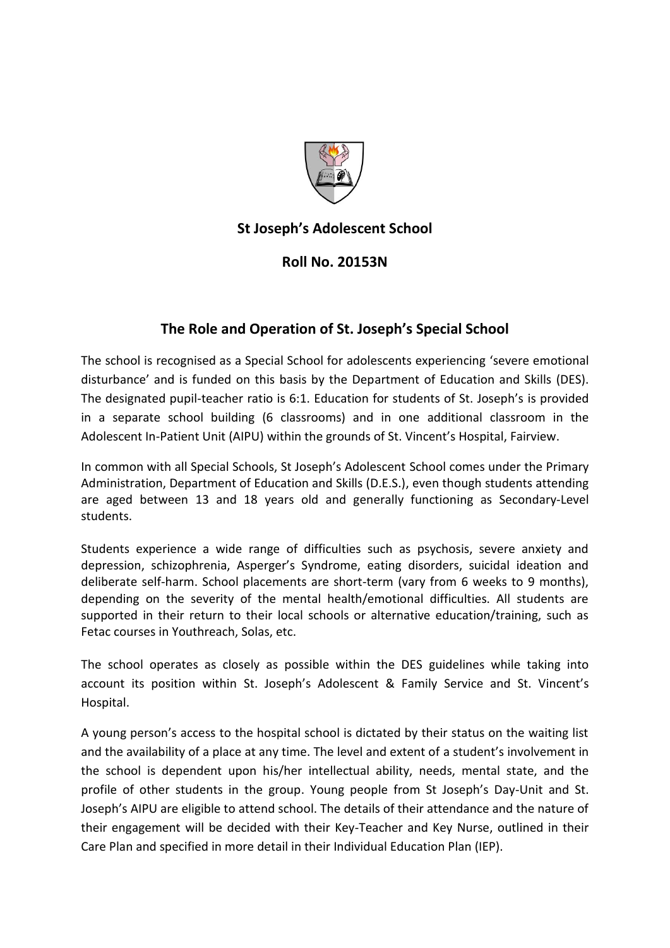

## **St Joseph's Adolescent School**

## **Roll No. 20153N**

## **The Role and Operation of St. Joseph's Special School**

The school is recognised as a Special School for adolescents experiencing 'severe emotional disturbance' and is funded on this basis by the Department of Education and Skills (DES). The designated pupil-teacher ratio is 6:1. Education for students of St. Joseph's is provided in a separate school building (6 classrooms) and in one additional classroom in the Adolescent In-Patient Unit (AIPU) within the grounds of St. Vincent's Hospital, Fairview.

In common with all Special Schools, St Joseph's Adolescent School comes under the Primary Administration, Department of Education and Skills (D.E.S.), even though students attending are aged between 13 and 18 years old and generally functioning as Secondary-Level students.

Students experience a wide range of difficulties such as psychosis, severe anxiety and depression, schizophrenia, Asperger's Syndrome, eating disorders, suicidal ideation and deliberate self-harm. School placements are short-term (vary from 6 weeks to 9 months), depending on the severity of the mental health/emotional difficulties. All students are supported in their return to their local schools or alternative education/training, such as Fetac courses in Youthreach, Solas, etc.

The school operates as closely as possible within the DES guidelines while taking into account its position within St. Joseph's Adolescent & Family Service and St. Vincent's Hospital.

A young person's access to the hospital school is dictated by their status on the waiting list and the availability of a place at any time. The level and extent of a student's involvement in the school is dependent upon his/her intellectual ability, needs, mental state, and the profile of other students in the group. Young people from St Joseph's Day-Unit and St. Joseph's AIPU are eligible to attend school. The details of their attendance and the nature of their engagement will be decided with their Key-Teacher and Key Nurse, outlined in their Care Plan and specified in more detail in their Individual Education Plan (IEP).